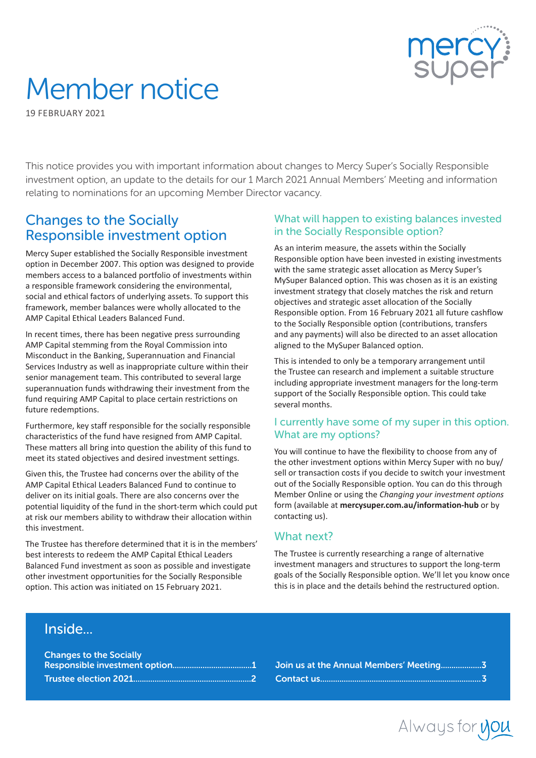

# Member notice

19 FEBRUARY 2021

This notice provides you with important information about changes to Mercy Super's Socially Responsible investment option, an update to the details for our 1 March 2021 Annual Members' Meeting and information relating to nominations for an upcoming Member Director vacancy.

# Changes to the Socially Responsible investment option

Mercy Super established the Socially Responsible investment option in December 2007. This option was designed to provide members access to a balanced portfolio of investments within a responsible framework considering the environmental, social and ethical factors of underlying assets. To support this framework, member balances were wholly allocated to the AMP Capital Ethical Leaders Balanced Fund.

In recent times, there has been negative press surrounding AMP Capital stemming from the Royal Commission into Misconduct in the Banking, Superannuation and Financial Services Industry as well as inappropriate culture within their senior management team. This contributed to several large superannuation funds withdrawing their investment from the fund requiring AMP Capital to place certain restrictions on future redemptions.

Furthermore, key staff responsible for the socially responsible characteristics of the fund have resigned from AMP Capital. These matters all bring into question the ability of this fund to meet its stated objectives and desired investment settings.

Given this, the Trustee had concerns over the ability of the AMP Capital Ethical Leaders Balanced Fund to continue to deliver on its initial goals. There are also concerns over the potential liquidity of the fund in the short-term which could put at risk our members ability to withdraw their allocation within this investment.

The Trustee has therefore determined that it is in the members' best interests to redeem the AMP Capital Ethical Leaders Balanced Fund investment as soon as possible and investigate other investment opportunities for the Socially Responsible option. This action was initiated on 15 February 2021.

#### What will happen to existing balances invested in the Socially Responsible option?

As an interim measure, the assets within the Socially Responsible option have been invested in existing investments with the same strategic asset allocation as Mercy Super's MySuper Balanced option. This was chosen as it is an existing investment strategy that closely matches the risk and return objectives and strategic asset allocation of the Socially Responsible option. From 16 February 2021 all future cashflow to the Socially Responsible option (contributions, transfers and any payments) will also be directed to an asset allocation aligned to the MySuper Balanced option.

This is intended to only be a temporary arrangement until the Trustee can research and implement a suitable structure including appropriate investment managers for the long-term support of the Socially Responsible option. This could take several months.

#### I currently have some of my super in this option. What are my options?

You will continue to have the flexibility to choose from any of the other investment options within Mercy Super with no buy/ sell or transaction costs if you decide to switch your investment out of the Socially Responsible option. You can do this through Member Online or using the *Changing your investment options* form (available at **mercysuper.com.au/information-hub** or by contacting us).

## What next?

The Trustee is currently researching a range of alternative investment managers and structures to support the long-term goals of the Socially Responsible option. We'll let you know once this is in place and the details behind the restructured option.

# **Inside**

| <b>Changes to the Socially</b> |  |
|--------------------------------|--|
|                                |  |
|                                |  |

Join us at the Annual Members' Meeting...................3 Contact us...........................................................................3

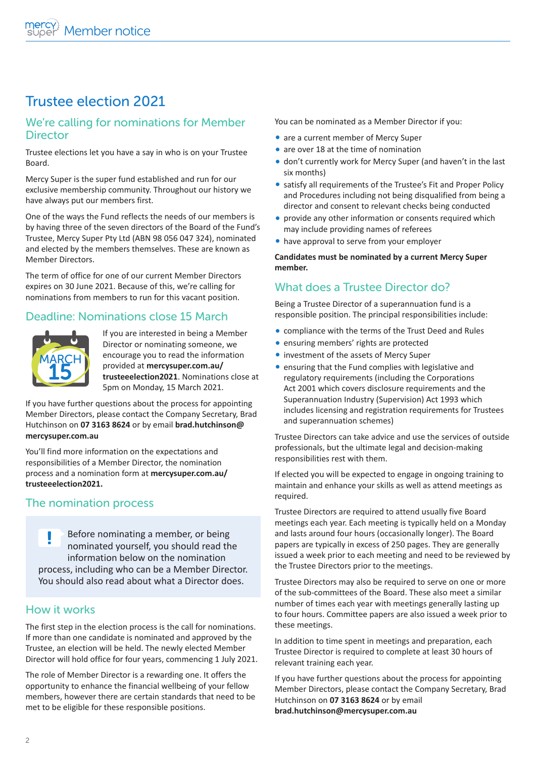# Trustee election 2021

#### We're calling for nominations for Member **Director**

Trustee elections let you have a say in who is on your Trustee Board.

Mercy Super is the super fund established and run for our exclusive membership community. Throughout our history we have always put our members first.

One of the ways the Fund reflects the needs of our members is by having three of the seven directors of the Board of the Fund's Trustee, Mercy Super Pty Ltd (ABN 98 056 047 324), nominated and elected by the members themselves. These are known as Member Directors.

The term of office for one of our current Member Directors expires on 30 June 2021. Because of this, we're calling for nominations from members to run for this vacant position.

## Deadline: Nominations close 15 March



If you are interested in being a Member Director or nominating someone, we encourage you to read the information provided at **mercysuper.com.au/ trusteeelection2021**. Nominations close at 5pm on Monday, 15 March 2021.

If you have further questions about the process for appointing Member Directors, please contact the Company Secretary, Brad Hutchinson on **07 3163 8624** or by email **brad.hutchinson@ mercysuper.com.au** 

You'll find more information on the expectations and responsibilities of a Member Director, the nomination process and a nomination form at **mercysuper.com.au/ trusteeelection2021.**

## The nomination process

**Before nominating a member, or being** nominated yourself, you should read the information below on the nomination process, including who can be a Member Director. You should also read about what a Director does.

#### How it works

The first step in the election process is the call for nominations. If more than one candidate is nominated and approved by the Trustee, an election will be held. The newly elected Member Director will hold office for four years, commencing 1 July 2021.

The role of Member Director is a rewarding one. It offers the opportunity to enhance the financial wellbeing of your fellow members, however there are certain standards that need to be met to be eligible for these responsible positions.

You can be nominated as a Member Director if you:

- are a current member of Mercy Super
- are over 18 at the time of nomination
- don't currently work for Mercy Super (and haven't in the last six months)
- satisfy all requirements of the Trustee's Fit and Proper Policy and Procedures including not being disqualified from being a director and consent to relevant checks being conducted
- provide any other information or consents required which may include providing names of referees
- have approval to serve from your employer

**Candidates must be nominated by a current Mercy Super member.**

# What does a Trustee Director do?

Being a Trustee Director of a superannuation fund is a responsible position. The principal responsibilities include:

- compliance with the terms of the Trust Deed and Rules
- ensuring members' rights are protected
- investment of the assets of Mercy Super
- ensuring that the Fund complies with legislative and regulatory requirements (including the Corporations Act 2001 which covers disclosure requirements and the Superannuation Industry (Supervision) Act 1993 which includes licensing and registration requirements for Trustees and superannuation schemes)

Trustee Directors can take advice and use the services of outside professionals, but the ultimate legal and decision-making responsibilities rest with them.

If elected you will be expected to engage in ongoing training to maintain and enhance your skills as well as attend meetings as required.

Trustee Directors are required to attend usually five Board meetings each year. Each meeting is typically held on a Monday and lasts around four hours (occasionally longer). The Board papers are typically in excess of 250 pages. They are generally issued a week prior to each meeting and need to be reviewed by the Trustee Directors prior to the meetings.

Trustee Directors may also be required to serve on one or more of the sub-committees of the Board. These also meet a similar number of times each year with meetings generally lasting up to four hours. Committee papers are also issued a week prior to these meetings.

In addition to time spent in meetings and preparation, each Trustee Director is required to complete at least 30 hours of relevant training each year.

If you have further questions about the process for appointing Member Directors, please contact the Company Secretary, Brad Hutchinson on **07 3163 8624** or by email **brad.hutchinson@mercysuper.com.au**